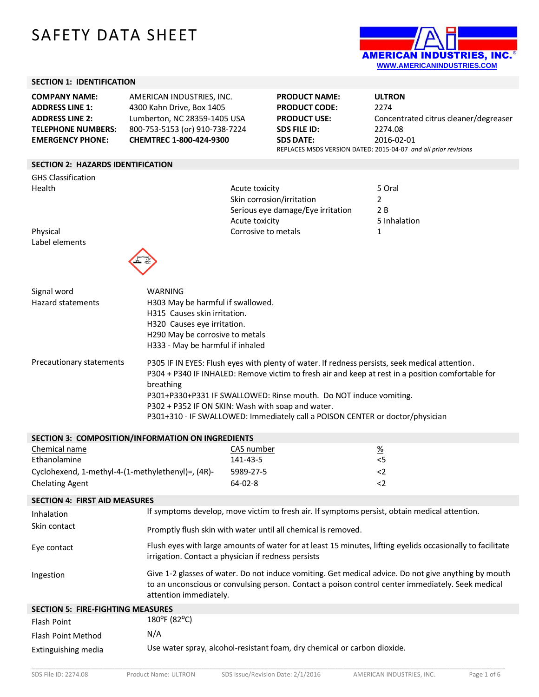# SAFETY DATA SHEET



## **SECTION 1: IDENTIFICATION**

| <b>COMPANY NAME:</b>      | AMERICAN INDUSTRIES, INC.      | <b>PRODUCT NAME:</b> | <b>ULTRON</b>                                                   |
|---------------------------|--------------------------------|----------------------|-----------------------------------------------------------------|
| <b>ADDRESS LINE 1:</b>    | 4300 Kahn Drive, Box 1405      | <b>PRODUCT CODE:</b> | 2274                                                            |
| <b>ADDRESS LINE 2:</b>    | Lumberton, NC 28359-1405 USA   | <b>PRODUCT USE:</b>  | Concentrated citrus cleaner/degreaser                           |
| <b>TELEPHONE NUMBERS:</b> | 800-753-5153 (or) 910-738-7224 | SDS FILE ID:         | 2274.08                                                         |
| <b>EMERGENCY PHONE:</b>   | <b>CHEMTREC 1-800-424-9300</b> | <b>SDS DATE:</b>     | 2016-02-01                                                      |
|                           |                                |                      | REPLACES MSDS VERSION DATED: 2015-04-07 and all prior revisions |

Skin corrosion/irritation

Serious eye damage/Eye irritation 2 B

Acute toxicity **5 Inhalation** 

## **SECTION 2: HAZARDS IDENTIFICATION**

GHS Classification Health Figure 1.1 and the Acute toxicity Acute toxicity and the although the South Acute toxicity and the South S<br>Skin corrosion/irritation 2

Physical **Corrosive to metals** 2 Label elements



| Signal word<br>Hazard statements | WARNING<br>H303 May be harmful if swallowed.<br>H315 Causes skin irritation.<br>H320 Causes eye irritation.<br>H290 May be corrosive to metals<br>H333 - May be harmful if inhaled                                                                                                                                                                                                                                          |
|----------------------------------|-----------------------------------------------------------------------------------------------------------------------------------------------------------------------------------------------------------------------------------------------------------------------------------------------------------------------------------------------------------------------------------------------------------------------------|
| Precautionary statements         | P305 IF IN EYES: Flush eyes with plenty of water. If redness persists, seek medical attention.<br>P304 + P340 IF INHALED: Remove victim to fresh air and keep at rest in a position comfortable for<br>breathing<br>P301+P330+P331 IF SWALLOWED: Rinse mouth. Do NOT induce vomiting.<br>P302 + P352 IF ON SKIN: Wash with soap and water.<br>P301+310 - IF SWALLOWED: Immediately call a POISON CENTER or doctor/physician |
|                                  | SECTION 3: COMPOSITION/INFORMATION ON INGREDIENTS                                                                                                                                                                                                                                                                                                                                                                           |

| <b>SLCTION S. CONIFOSITION/INFORMATION ON INORDILINIS</b> |            |                 |
|-----------------------------------------------------------|------------|-----------------|
| Chemical name                                             | CAS number | $\frac{\%}{\%}$ |
| Ethanolamine                                              | 141-43-5   | 5<              |
| Cyclohexend, 1-methyl-4-(1-methylethenyl)=, (4R)-         | 5989-27-5  |                 |
| <b>Chelating Agent</b>                                    | $64-02-8$  |                 |

#### **SECTION 4: FIRST AID MEASURES**

| Inhalation                               | If symptoms develop, move victim to fresh air. If symptoms persist, obtain medical attention.                                                                                                                                       |
|------------------------------------------|-------------------------------------------------------------------------------------------------------------------------------------------------------------------------------------------------------------------------------------|
| Skin contact                             | Promptly flush skin with water until all chemical is removed.                                                                                                                                                                       |
| Eye contact                              | Flush eyes with large amounts of water for at least 15 minutes, lifting eyelids occasionally to facilitate<br>irrigation. Contact a physician if redness persists                                                                   |
| Ingestion                                | Give 1-2 glasses of water. Do not induce vomiting. Get medical advice. Do not give anything by mouth<br>to an unconscious or convulsing person. Contact a poison control center immediately. Seek medical<br>attention immediately. |
| <b>SECTION 5: FIRE-FIGHTING MEASURES</b> |                                                                                                                                                                                                                                     |
| <b>Flash Point</b>                       | 180°F (82°C)                                                                                                                                                                                                                        |
| Flash Point Method                       | N/A                                                                                                                                                                                                                                 |
| Extinguishing media                      | Use water spray, alcohol-resistant foam, dry chemical or carbon dioxide.                                                                                                                                                            |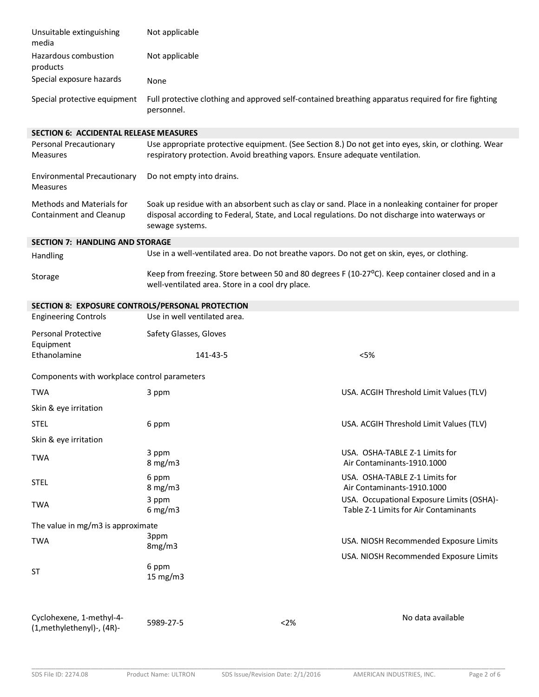| Unsuitable extinguishing<br>media                      | Not applicable                                                                               |      |                                                                                                                                                                                                       |
|--------------------------------------------------------|----------------------------------------------------------------------------------------------|------|-------------------------------------------------------------------------------------------------------------------------------------------------------------------------------------------------------|
| Hazardous combustion<br>products                       | Not applicable                                                                               |      |                                                                                                                                                                                                       |
| Special exposure hazards                               | None                                                                                         |      |                                                                                                                                                                                                       |
| Special protective equipment                           | personnel.                                                                                   |      | Full protective clothing and approved self-contained breathing apparatus required for fire fighting                                                                                                   |
| <b>SECTION 6: ACCIDENTAL RELEASE MEASURES</b>          |                                                                                              |      |                                                                                                                                                                                                       |
| <b>Personal Precautionary</b><br><b>Measures</b>       | respiratory protection. Avoid breathing vapors. Ensure adequate ventilation.                 |      | Use appropriate protective equipment. (See Section 8.) Do not get into eyes, skin, or clothing. Wear                                                                                                  |
| <b>Environmental Precautionary</b><br><b>Measures</b>  | Do not empty into drains.                                                                    |      |                                                                                                                                                                                                       |
| Methods and Materials for<br>Containment and Cleanup   | sewage systems.                                                                              |      | Soak up residue with an absorbent such as clay or sand. Place in a nonleaking container for proper<br>disposal according to Federal, State, and Local regulations. Do not discharge into waterways or |
| <b>SECTION 7: HANDLING AND STORAGE</b>                 |                                                                                              |      |                                                                                                                                                                                                       |
| Handling                                               | Use in a well-ventilated area. Do not breathe vapors. Do not get on skin, eyes, or clothing. |      |                                                                                                                                                                                                       |
| Storage                                                | well-ventilated area. Store in a cool dry place.                                             |      | Keep from freezing. Store between 50 and 80 degrees F (10-27°C). Keep container closed and in a                                                                                                       |
| SECTION 8: EXPOSURE CONTROLS/PERSONAL PROTECTION       |                                                                                              |      |                                                                                                                                                                                                       |
| <b>Engineering Controls</b>                            | Use in well ventilated area.                                                                 |      |                                                                                                                                                                                                       |
| <b>Personal Protective</b><br>Equipment                | Safety Glasses, Gloves                                                                       |      |                                                                                                                                                                                                       |
| Ethanolamine                                           | 141-43-5                                                                                     |      | < 5%                                                                                                                                                                                                  |
| Components with workplace control parameters           |                                                                                              |      |                                                                                                                                                                                                       |
| <b>TWA</b>                                             | 3 ppm                                                                                        |      | USA. ACGIH Threshold Limit Values (TLV)                                                                                                                                                               |
| Skin & eye irritation                                  |                                                                                              |      |                                                                                                                                                                                                       |
| <b>STEL</b>                                            | 6 ppm                                                                                        |      | USA. ACGIH Threshold Limit Values (TLV)                                                                                                                                                               |
| Skin & eye irritation                                  |                                                                                              |      |                                                                                                                                                                                                       |
| <b>TWA</b>                                             | 3 ppm<br>$8$ mg/m $3$                                                                        |      | USA. OSHA-TABLE Z-1 Limits for<br>Air Contaminants-1910.1000                                                                                                                                          |
| <b>STEL</b>                                            | 6 ppm<br>$8 \text{ mg/m}$                                                                    |      | USA. OSHA-TABLE Z-1 Limits for<br>Air Contaminants-1910.1000                                                                                                                                          |
| <b>TWA</b>                                             | 3 ppm<br>$6$ mg/m3                                                                           |      | USA. Occupational Exposure Limits (OSHA)-<br>Table Z-1 Limits for Air Contaminants                                                                                                                    |
| The value in mg/m3 is approximate                      |                                                                                              |      |                                                                                                                                                                                                       |
| <b>TWA</b>                                             | 3ppm<br>8mg/m3                                                                               |      | USA. NIOSH Recommended Exposure Limits                                                                                                                                                                |
|                                                        |                                                                                              |      | USA. NIOSH Recommended Exposure Limits                                                                                                                                                                |
| <b>ST</b>                                              | 6 ppm<br>$15 \text{ mg/m}$                                                                   |      |                                                                                                                                                                                                       |
| Cyclohexene, 1-methyl-4-<br>(1, methylethenyl)-, (4R)- | 5989-27-5                                                                                    | < 2% | No data available                                                                                                                                                                                     |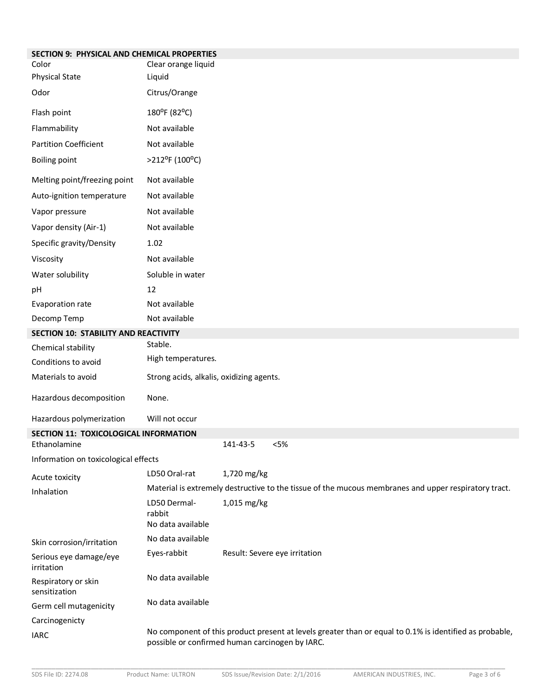| SECTION 9: PHYSICAL AND CHEMICAL PROPERTIES |                                                 |                               |        |                                                                                                         |
|---------------------------------------------|-------------------------------------------------|-------------------------------|--------|---------------------------------------------------------------------------------------------------------|
| Color                                       | Clear orange liquid                             |                               |        |                                                                                                         |
| <b>Physical State</b>                       | Liquid                                          |                               |        |                                                                                                         |
| Odor                                        | Citrus/Orange                                   |                               |        |                                                                                                         |
| Flash point                                 | 180°F (82°C)                                    |                               |        |                                                                                                         |
| Flammability                                | Not available                                   |                               |        |                                                                                                         |
| <b>Partition Coefficient</b>                | Not available                                   |                               |        |                                                                                                         |
| <b>Boiling point</b>                        | $>212$ <sup>o</sup> F (100 <sup>o</sup> C)      |                               |        |                                                                                                         |
| Melting point/freezing point                | Not available                                   |                               |        |                                                                                                         |
| Auto-ignition temperature                   | Not available                                   |                               |        |                                                                                                         |
| Vapor pressure                              | Not available                                   |                               |        |                                                                                                         |
| Vapor density (Air-1)                       | Not available                                   |                               |        |                                                                                                         |
| Specific gravity/Density                    | 1.02                                            |                               |        |                                                                                                         |
| Viscosity                                   | Not available                                   |                               |        |                                                                                                         |
| Water solubility                            | Soluble in water                                |                               |        |                                                                                                         |
| pH                                          | 12                                              |                               |        |                                                                                                         |
| Evaporation rate                            | Not available                                   |                               |        |                                                                                                         |
| Decomp Temp                                 | Not available                                   |                               |        |                                                                                                         |
| SECTION 10: STABILITY AND REACTIVITY        |                                                 |                               |        |                                                                                                         |
| Chemical stability                          | Stable.                                         |                               |        |                                                                                                         |
| Conditions to avoid                         | High temperatures.                              |                               |        |                                                                                                         |
| Materials to avoid                          | Strong acids, alkalis, oxidizing agents.        |                               |        |                                                                                                         |
| Hazardous decomposition                     | None.                                           |                               |        |                                                                                                         |
| Hazardous polymerization                    | Will not occur                                  |                               |        |                                                                                                         |
| SECTION 11: TOXICOLOGICAL INFORMATION       |                                                 |                               |        |                                                                                                         |
| Ethanolamine                                |                                                 | 141-43-5                      | $<$ 5% |                                                                                                         |
| Information on toxicological effects        |                                                 |                               |        |                                                                                                         |
| Acute toxicity                              | LD50 Oral-rat                                   | 1,720 mg/kg                   |        |                                                                                                         |
| Inhalation                                  |                                                 |                               |        | Material is extremely destructive to the tissue of the mucous membranes and upper respiratory tract.    |
|                                             | LD50 Dermal-<br>rabbit<br>No data available     | 1,015 mg/kg                   |        |                                                                                                         |
| Skin corrosion/irritation                   | No data available                               |                               |        |                                                                                                         |
| Serious eye damage/eye<br>irritation        | Eyes-rabbit                                     | Result: Severe eye irritation |        |                                                                                                         |
| Respiratory or skin<br>sensitization        | No data available                               |                               |        |                                                                                                         |
| Germ cell mutagenicity                      | No data available                               |                               |        |                                                                                                         |
| Carcinogenicty                              |                                                 |                               |        |                                                                                                         |
| <b>IARC</b>                                 | possible or confirmed human carcinogen by IARC. |                               |        | No component of this product present at levels greater than or equal to 0.1% is identified as probable, |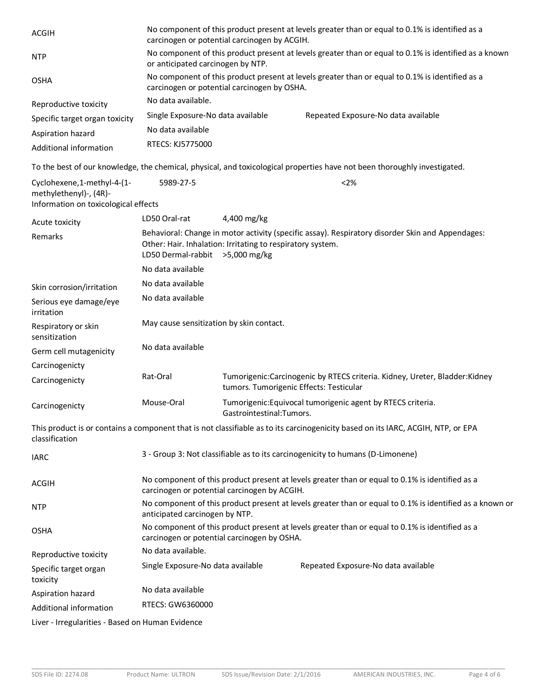| <b>ACGIH</b>                                                                                  | No component of this product present at levels greater than or equal to 0.1% is identified as a<br>carcinogen or potential carcinogen by ACGIH. |                                                            |                                                                                                                                  |  |
|-----------------------------------------------------------------------------------------------|-------------------------------------------------------------------------------------------------------------------------------------------------|------------------------------------------------------------|----------------------------------------------------------------------------------------------------------------------------------|--|
| <b>NTP</b>                                                                                    | No component of this product present at levels greater than or equal to 0.1% is identified as a known<br>or anticipated carcinogen by NTP.      |                                                            |                                                                                                                                  |  |
| <b>OSHA</b>                                                                                   |                                                                                                                                                 | carcinogen or potential carcinogen by OSHA.                | No component of this product present at levels greater than or equal to 0.1% is identified as a                                  |  |
| Reproductive toxicity                                                                         | No data available.                                                                                                                              |                                                            |                                                                                                                                  |  |
| Specific target organ toxicity                                                                | Single Exposure-No data available                                                                                                               |                                                            | Repeated Exposure-No data available                                                                                              |  |
| Aspiration hazard                                                                             | No data available                                                                                                                               |                                                            |                                                                                                                                  |  |
| Additional information                                                                        | RTECS: KJ5775000                                                                                                                                |                                                            |                                                                                                                                  |  |
|                                                                                               |                                                                                                                                                 |                                                            | To the best of our knowledge, the chemical, physical, and toxicological properties have not been thoroughly investigated.        |  |
| Cyclohexene, 1-methyl-4-(1-<br>methylethenyl)-, (4R)-<br>Information on toxicological effects | 5989-27-5                                                                                                                                       |                                                            | < 2%                                                                                                                             |  |
| Acute toxicity                                                                                | LD50 Oral-rat                                                                                                                                   | 4,400 mg/kg                                                |                                                                                                                                  |  |
| Remarks                                                                                       | LD50 Dermal-rabbit > 5,000 mg/kg                                                                                                                | Other: Hair. Inhalation: Irritating to respiratory system. | Behavioral: Change in motor activity (specific assay). Respiratory disorder Skin and Appendages:                                 |  |
|                                                                                               | No data available                                                                                                                               |                                                            |                                                                                                                                  |  |
| Skin corrosion/irritation                                                                     | No data available                                                                                                                               |                                                            |                                                                                                                                  |  |
| Serious eye damage/eye<br>irritation                                                          | No data available                                                                                                                               |                                                            |                                                                                                                                  |  |
| Respiratory or skin<br>sensitization                                                          | May cause sensitization by skin contact.                                                                                                        |                                                            |                                                                                                                                  |  |
| Germ cell mutagenicity                                                                        | No data available                                                                                                                               |                                                            |                                                                                                                                  |  |
| Carcinogenicty                                                                                |                                                                                                                                                 |                                                            |                                                                                                                                  |  |
| Carcinogenicty                                                                                | Rat-Oral                                                                                                                                        | tumors. Tumorigenic Effects: Testicular                    | Tumorigenic:Carcinogenic by RTECS criteria. Kidney, Ureter, Bladder:Kidney                                                       |  |
| Carcinogenicty                                                                                | Mouse-Oral                                                                                                                                      | Gastrointestinal:Tumors.                                   | Tumorigenic: Equivocal tumorigenic agent by RTECS criteria.                                                                      |  |
| classification                                                                                |                                                                                                                                                 |                                                            | This product is or contains a component that is not classifiable as to its carcinogenicity based on its IARC, ACGIH, NTP, or EPA |  |
| <b>IARC</b>                                                                                   |                                                                                                                                                 |                                                            | 3 - Group 3: Not classifiable as to its carcinogenicity to humans (D-Limonene)                                                   |  |
| ACGIH                                                                                         |                                                                                                                                                 | carcinogen or potential carcinogen by ACGIH.               | No component of this product present at levels greater than or equal to 0.1% is identified as a                                  |  |
| <b>NTP</b>                                                                                    | anticipated carcinogen by NTP.                                                                                                                  |                                                            | No component of this product present at levels greater than or equal to 0.1% is identified as a known or                         |  |
| <b>OSHA</b>                                                                                   |                                                                                                                                                 | carcinogen or potential carcinogen by OSHA.                | No component of this product present at levels greater than or equal to 0.1% is identified as a                                  |  |
| Reproductive toxicity                                                                         | No data available.                                                                                                                              |                                                            |                                                                                                                                  |  |
| Specific target organ<br>toxicity                                                             | Single Exposure-No data available                                                                                                               |                                                            | Repeated Exposure-No data available                                                                                              |  |
| Aspiration hazard                                                                             | No data available                                                                                                                               |                                                            |                                                                                                                                  |  |
| Additional information                                                                        | RTECS: GW6360000                                                                                                                                |                                                            |                                                                                                                                  |  |
| Liver - Irregularities - Based on Human Evidence                                              |                                                                                                                                                 |                                                            |                                                                                                                                  |  |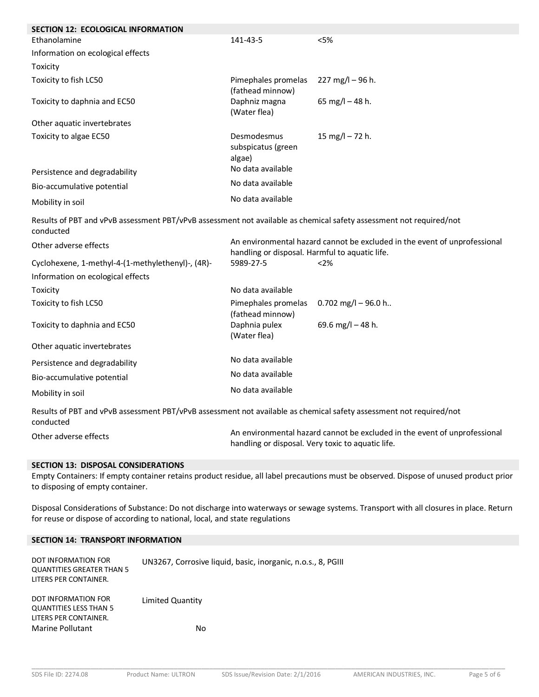| SECTION 12: ECOLOGICAL INFORMATION                                                                                               |                                                |                                                                           |
|----------------------------------------------------------------------------------------------------------------------------------|------------------------------------------------|---------------------------------------------------------------------------|
| Ethanolamine                                                                                                                     | 141-43-5                                       | $<$ 5%                                                                    |
| Information on ecological effects                                                                                                |                                                |                                                                           |
| Toxicity                                                                                                                         |                                                |                                                                           |
| Toxicity to fish LC50                                                                                                            | Pimephales promelas<br>(fathead minnow)        | 227 mg/l $-96$ h.                                                         |
| Toxicity to daphnia and EC50                                                                                                     | Daphniz magna<br>(Water flea)                  | 65 mg/l $-$ 48 h.                                                         |
| Other aquatic invertebrates                                                                                                      |                                                |                                                                           |
| Toxicity to algae EC50                                                                                                           | Desmodesmus<br>subspicatus (green<br>algae)    | 15 mg/l $-$ 72 h.                                                         |
| Persistence and degradability                                                                                                    | No data available                              |                                                                           |
| Bio-accumulative potential                                                                                                       | No data available                              |                                                                           |
| Mobility in soil                                                                                                                 | No data available                              |                                                                           |
| Results of PBT and vPvB assessment PBT/vPvB assessment not available as chemical safety assessment not required/not<br>conducted |                                                |                                                                           |
| Other adverse effects                                                                                                            | handling or disposal. Harmful to aquatic life. | An environmental hazard cannot be excluded in the event of unprofessional |
| Cyclohexene, 1-methyl-4-(1-methylethenyl)-, (4R)-                                                                                | 5989-27-5                                      | < 2%                                                                      |
| Information on ecological effects                                                                                                |                                                |                                                                           |
| Toxicity                                                                                                                         | No data available                              |                                                                           |
| Toxicity to fish LC50                                                                                                            | Pimephales promelas<br>(fathead minnow)        | 0.702 mg/l – 96.0 h                                                       |
| Toxicity to daphnia and EC50                                                                                                     | Daphnia pulex<br>(Water flea)                  | 69.6 mg/l - 48 h.                                                         |
| Other aquatic invertebrates                                                                                                      |                                                |                                                                           |
| Persistence and degradability                                                                                                    | No data available                              |                                                                           |
| Bio-accumulative potential                                                                                                       | No data available                              |                                                                           |
| Mobility in soil                                                                                                                 | No data available                              |                                                                           |
| Results of PBT and vPvB assessment PBT/vPvB assessment not available as chemical safety assessment not required/not<br>conducted |                                                |                                                                           |

Other adverse effects **An environmental hazard cannot be excluded in the event of unprofessional** handling or disposal. Very toxic to aquatic life.

## **SECTION 13: DISPOSAL CONSIDERATIONS**

Empty Containers: If empty container retains product residue, all label precautions must be observed. Dispose of unused product prior to disposing of empty container.

Disposal Considerations of Substance: Do not discharge into waterways or sewage systems. Transport with all closures in place. Return for reuse or dispose of according to national, local, and state regulations

# **SECTION 14: TRANSPORT INFORMATION**

| DOT INFORMATION FOR<br><b>QUANTITIES GREATER THAN 5</b><br>LITERS PER CONTAINER. | UN3267, Corrosive liquid, basic, inorganic, n.o.s., 8, PGIII |
|----------------------------------------------------------------------------------|--------------------------------------------------------------|
| DOT INFORMATION FOR                                                              | Limited Quantity                                             |
| QUANTITIES LESS THAN 5                                                           |                                                              |
| LITERS PER CONTAINER.                                                            |                                                              |
| <b>Marine Pollutant</b>                                                          | No                                                           |